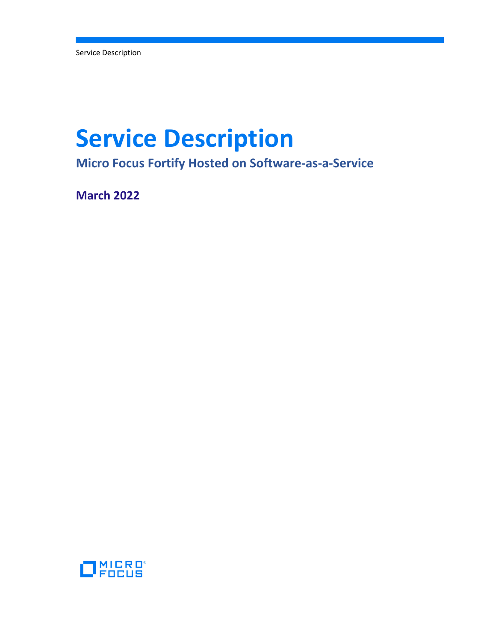Service Description

# **Service Description**

**Micro Focus Fortify Hosted on Software‐as‐a‐Service**

**March 2022**

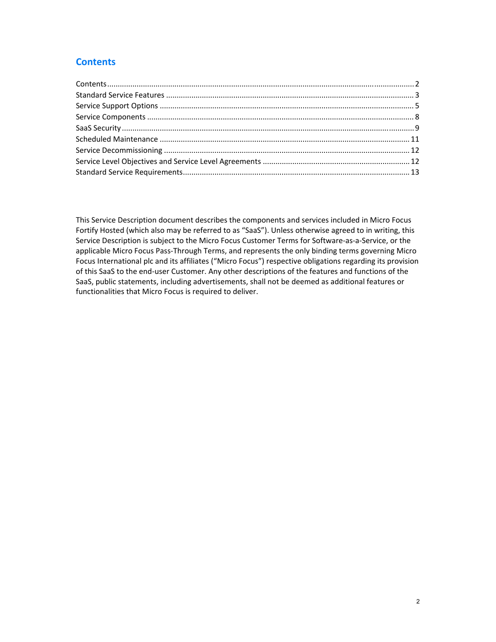# **Contents**

This Service Description document describes the components and services included in Micro Focus Fortify Hosted (which also may be referred to as "SaaS"). Unless otherwise agreed to in writing, this Service Description is subject to the Micro Focus Customer Terms for Software‐as‐a‐Service, or the applicable Micro Focus Pass‐Through Terms, and represents the only binding terms governing Micro Focus International plc and its affiliates ("Micro Focus") respective obligations regarding its provision of this SaaS to the end‐user Customer. Any other descriptions of the features and functions of the SaaS, public statements, including advertisements, shall not be deemed as additional features or functionalities that Micro Focus is required to deliver.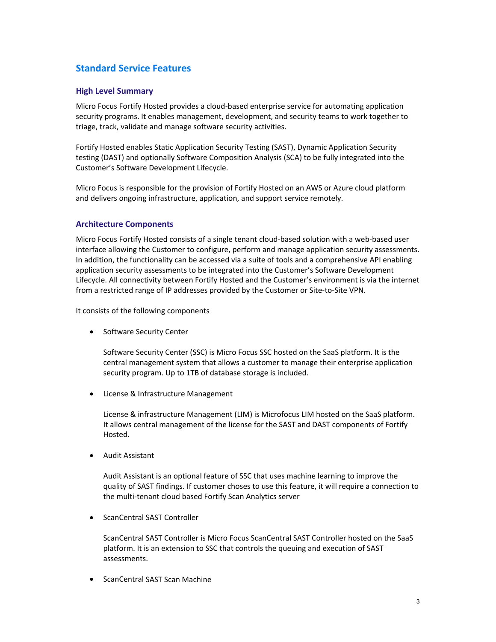# **Standard Service Features**

## **High Level Summary**

Micro Focus Fortify Hosted provides a cloud‐based enterprise service for automating application security programs. It enables management, development, and security teams to work together to triage, track, validate and manage software security activities.

Fortify Hosted enables Static Application Security Testing (SAST), Dynamic Application Security testing (DAST) and optionally Software Composition Analysis (SCA) to be fully integrated into the Customer's Software Development Lifecycle.

Micro Focus is responsible for the provision of Fortify Hosted on an AWS or Azure cloud platform and delivers ongoing infrastructure, application, and support service remotely.

#### **Architecture Components**

Micro Focus Fortify Hosted consists of a single tenant cloud‐based solution with a web‐based user interface allowing the Customer to configure, perform and manage application security assessments. In addition, the functionality can be accessed via a suite of tools and a comprehensive API enabling application security assessments to be integrated into the Customer's Software Development Lifecycle. All connectivity between Fortify Hosted and the Customer's environment is via the internet from a restricted range of IP addresses provided by the Customer or Site‐to‐Site VPN.

It consists of the following components

• Software Security Center

Software Security Center (SSC) is Micro Focus SSC hosted on the SaaS platform. It is the central management system that allows a customer to manage their enterprise application security program. Up to 1TB of database storage is included.

• License & Infrastructure Management

License & infrastructure Management (LIM) is Microfocus LIM hosted on the SaaS platform. It allows central management of the license for the SAST and DAST components of Fortify Hosted.

Audit Assistant

Audit Assistant is an optional feature of SSC that uses machine learning to improve the quality of SAST findings. If customer choses to use this feature, it will require a connection to the multi‐tenant cloud based Fortify Scan Analytics server

ScanCentral SAST Controller

ScanCentral SAST Controller is Micro Focus ScanCentral SAST Controller hosted on the SaaS platform. It is an extension to SSC that controls the queuing and execution of SAST assessments.

• ScanCentral SAST Scan Machine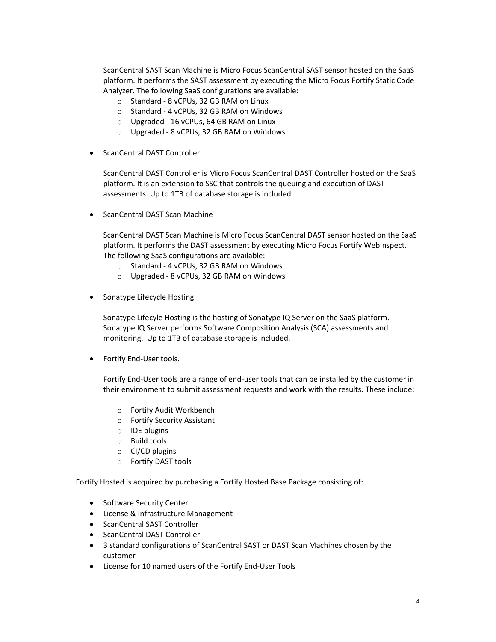ScanCentral SAST Scan Machine is Micro Focus ScanCentral SAST sensor hosted on the SaaS platform. It performs the SAST assessment by executing the Micro Focus Fortify Static Code Analyzer. The following SaaS configurations are available:

- o Standard ‐ 8 vCPUs, 32 GB RAM on Linux
- o Standard ‐ 4 vCPUs, 32 GB RAM on Windows
- o Upgraded ‐ 16 vCPUs, 64 GB RAM on Linux
- o Upgraded ‐ 8 vCPUs, 32 GB RAM on Windows
- ScanCentral DAST Controller

ScanCentral DAST Controller is Micro Focus ScanCentral DAST Controller hosted on the SaaS platform. It is an extension to SSC that controls the queuing and execution of DAST assessments. Up to 1TB of database storage is included.

ScanCentral DAST Scan Machine

ScanCentral DAST Scan Machine is Micro Focus ScanCentral DAST sensor hosted on the SaaS platform. It performs the DAST assessment by executing Micro Focus Fortify WebInspect. The following SaaS configurations are available:

- o Standard ‐ 4 vCPUs, 32 GB RAM on Windows
- o Upgraded ‐ 8 vCPUs, 32 GB RAM on Windows
- Sonatype Lifecycle Hosting

Sonatype Lifecyle Hosting is the hosting of Sonatype IQ Server on the SaaS platform. Sonatype IQ Server performs Software Composition Analysis (SCA) assessments and monitoring. Up to 1TB of database storage is included.

● Fortify End-User tools.

Fortify End‐User tools are a range of end‐user tools that can be installed by the customer in their environment to submit assessment requests and work with the results. These include:

- o Fortify Audit Workbench
- o Fortify Security Assistant
- o IDE plugins
- o Build tools
- o CI/CD plugins
- o Fortify DAST tools

Fortify Hosted is acquired by purchasing a Fortify Hosted Base Package consisting of:

- Software Security Center
- License & Infrastructure Management
- ScanCentral SAST Controller
- ScanCentral DAST Controller
- 3 standard configurations of ScanCentral SAST or DAST Scan Machines chosen by the customer
- License for 10 named users of the Fortify End‐User Tools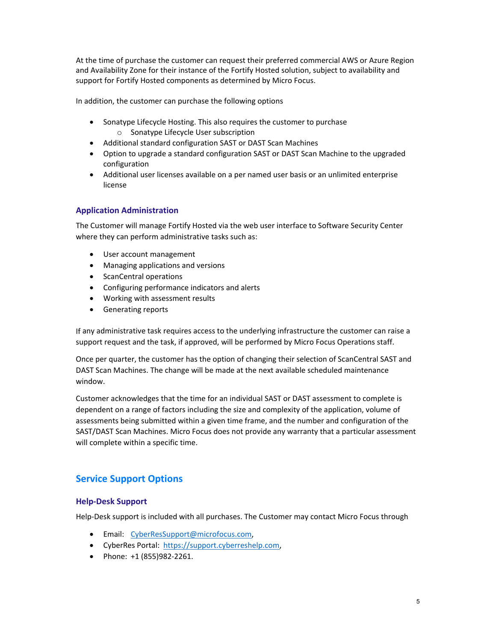At the time of purchase the customer can request their preferred commercial AWS or Azure Region and Availability Zone for their instance of the Fortify Hosted solution, subject to availability and support for Fortify Hosted components as determined by Micro Focus.

In addition, the customer can purchase the following options

- Sonatype Lifecycle Hosting. This also requires the customer to purchase o Sonatype Lifecycle User subscription
- Additional standard configuration SAST or DAST Scan Machines
- Option to upgrade a standard configuration SAST or DAST Scan Machine to the upgraded configuration
- Additional user licenses available on a per named user basis or an unlimited enterprise license

# **Application Administration**

The Customer will manage Fortify Hosted via the web user interface to Software Security Center where they can perform administrative tasks such as:

- User account management
- Managing applications and versions
- ScanCentral operations
- Configuring performance indicators and alerts
- Working with assessment results
- Generating reports

If any administrative task requires access to the underlying infrastructure the customer can raise a support request and the task, if approved, will be performed by Micro Focus Operations staff.

Once per quarter, the customer has the option of changing their selection of ScanCentral SAST and DAST Scan Machines. The change will be made at the next available scheduled maintenance window.

Customer acknowledges that the time for an individual SAST or DAST assessment to complete is dependent on a range of factors including the size and complexity of the application, volume of assessments being submitted within a given time frame, and the number and configuration of the SAST/DAST Scan Machines. Micro Focus does not provide any warranty that a particular assessment will complete within a specific time.

# **Service Support Options**

#### **Help‐Desk Support**

Help-Desk support is included with all purchases. The Customer may contact Micro Focus through

- **•** Email: CyberResSupport@microfocus.com,
- CyberRes Portal: https://support.cyberreshelp.com,
- Phone: +1 (855)982-2261.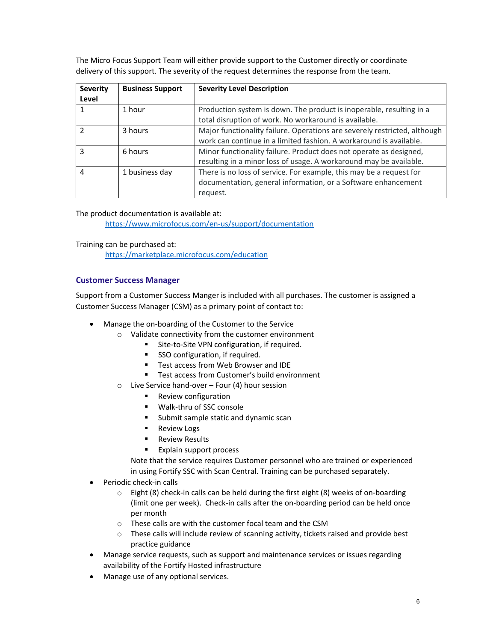The Micro Focus Support Team will either provide support to the Customer directly or coordinate delivery of this support. The severity of the request determines the response from the team.

| <b>Severity</b><br>Level | <b>Business Support</b> | <b>Severity Level Description</b>                                                                                                                |
|--------------------------|-------------------------|--------------------------------------------------------------------------------------------------------------------------------------------------|
|                          | 1 hour                  | Production system is down. The product is inoperable, resulting in a<br>total disruption of work. No workaround is available.                    |
|                          | 3 hours                 | Major functionality failure. Operations are severely restricted, although<br>work can continue in a limited fashion. A workaround is available.  |
| ς                        | 6 hours                 | Minor functionality failure. Product does not operate as designed,<br>resulting in a minor loss of usage. A workaround may be available.         |
| 4                        | 1 business day          | There is no loss of service. For example, this may be a request for<br>documentation, general information, or a Software enhancement<br>request. |

The product documentation is available at: https://www.microfocus.com/en‐us/support/documentation

Training can be purchased at: https://marketplace.microfocus.com/education

# **Customer Success Manager**

Support from a Customer Success Manger is included with all purchases. The customer is assigned a Customer Success Manager (CSM) as a primary point of contact to:

- Manage the on-boarding of the Customer to the Service
	- o Validate connectivity from the customer environment
		- Site-to-Site VPN configuration, if required.
		- SSO configuration, if required.
		- Test access from Web Browser and IDE
		- Test access from Customer's build environment
	- o Live Service hand‐over Four (4) hour session
		- **Review configuration**
		- Walk‐thru of SSC console
		- **Submit sample static and dynamic scan**
		- **Review Logs**
		- Review Results
		- **Explain support process**

Note that the service requires Customer personnel who are trained or experienced in using Fortify SSC with Scan Central. Training can be purchased separately.

- Periodic check‐in calls
	- o Eight (8) check‐in calls can be held during the first eight (8) weeks of on‐boarding (limit one per week). Check‐in calls after the on‐boarding period can be held once per month
	- o These calls are with the customer focal team and the CSM
	- o These calls will include review of scanning activity, tickets raised and provide best practice guidance
- Manage service requests, such as support and maintenance services or issues regarding availability of the Fortify Hosted infrastructure
- Manage use of any optional services.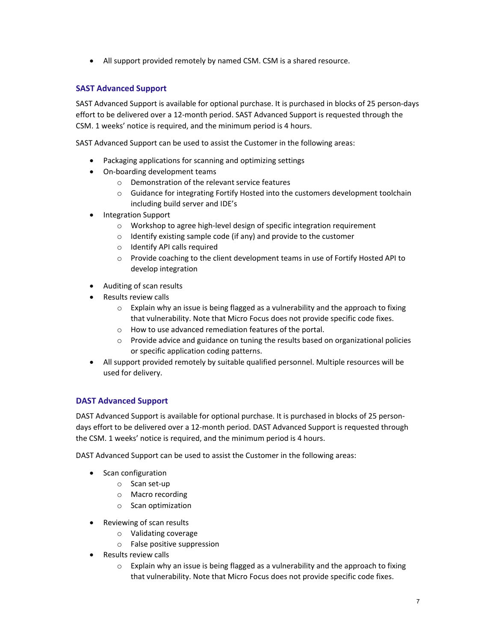All support provided remotely by named CSM. CSM is a shared resource.

# **SAST Advanced Support**

SAST Advanced Support is available for optional purchase. It is purchased in blocks of 25 person‐days effort to be delivered over a 12‐month period. SAST Advanced Support is requested through the CSM. 1 weeks' notice is required, and the minimum period is 4 hours.

SAST Advanced Support can be used to assist the Customer in the following areas:

- Packaging applications for scanning and optimizing settings
- On-boarding development teams
	- o Demonstration of the relevant service features
	- $\circ$  Guidance for integrating Fortify Hosted into the customers development toolchain including build server and IDE's
- Integration Support
	- o Workshop to agree high‐level design of specific integration requirement
	- o Identify existing sample code (if any) and provide to the customer
	- o Identify API calls required
	- o Provide coaching to the client development teams in use of Fortify Hosted API to develop integration
- Auditing of scan results
- Results review calls
	- $\circ$  Explain why an issue is being flagged as a vulnerability and the approach to fixing that vulnerability. Note that Micro Focus does not provide specific code fixes.
	- o How to use advanced remediation features of the portal.
	- $\circ$  Provide advice and guidance on tuning the results based on organizational policies or specific application coding patterns.
- All support provided remotely by suitable qualified personnel. Multiple resources will be used for delivery.

# **DAST Advanced Support**

DAST Advanced Support is available for optional purchase. It is purchased in blocks of 25 person‐ days effort to be delivered over a 12-month period. DAST Advanced Support is requested through the CSM. 1 weeks' notice is required, and the minimum period is 4 hours.

DAST Advanced Support can be used to assist the Customer in the following areas:

- Scan configuration
	- o Scan set‐up
	- o Macro recording
	- o Scan optimization
- Reviewing of scan results
	- o Validating coverage
	- o False positive suppression
- Results review calls
	- o Explain why an issue is being flagged as a vulnerability and the approach to fixing that vulnerability. Note that Micro Focus does not provide specific code fixes.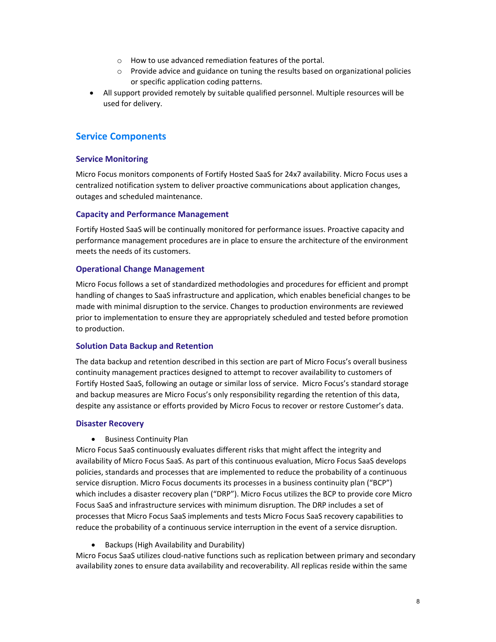- o How to use advanced remediation features of the portal.
- o Provide advice and guidance on tuning the results based on organizational policies or specific application coding patterns.
- All support provided remotely by suitable qualified personnel. Multiple resources will be used for delivery.

# **Service Components**

## **Service Monitoring**

Micro Focus monitors components of Fortify Hosted SaaS for 24x7 availability. Micro Focus uses a centralized notification system to deliver proactive communications about application changes, outages and scheduled maintenance.

## **Capacity and Performance Management**

Fortify Hosted SaaS will be continually monitored for performance issues. Proactive capacity and performance management procedures are in place to ensure the architecture of the environment meets the needs of its customers.

## **Operational Change Management**

Micro Focus follows a set of standardized methodologies and procedures for efficient and prompt handling of changes to SaaS infrastructure and application, which enables beneficial changes to be made with minimal disruption to the service. Changes to production environments are reviewed prior to implementation to ensure they are appropriately scheduled and tested before promotion to production.

#### **Solution Data Backup and Retention**

The data backup and retention described in this section are part of Micro Focus's overall business continuity management practices designed to attempt to recover availability to customers of Fortify Hosted SaaS, following an outage or similar loss of service. Micro Focus's standard storage and backup measures are Micro Focus's only responsibility regarding the retention of this data, despite any assistance or efforts provided by Micro Focus to recover or restore Customer's data.

#### **Disaster Recovery**

• Business Continuity Plan

Micro Focus SaaS continuously evaluates different risks that might affect the integrity and availability of Micro Focus SaaS. As part of this continuous evaluation, Micro Focus SaaS develops policies, standards and processes that are implemented to reduce the probability of a continuous service disruption. Micro Focus documents its processes in a business continuity plan ("BCP") which includes a disaster recovery plan ("DRP"). Micro Focus utilizes the BCP to provide core Micro Focus SaaS and infrastructure services with minimum disruption. The DRP includes a set of processes that Micro Focus SaaS implements and tests Micro Focus SaaS recovery capabilities to reduce the probability of a continuous service interruption in the event of a service disruption.

Backups (High Availability and Durability)

Micro Focus SaaS utilizes cloud‐native functions such as replication between primary and secondary availability zones to ensure data availability and recoverability. All replicas reside within the same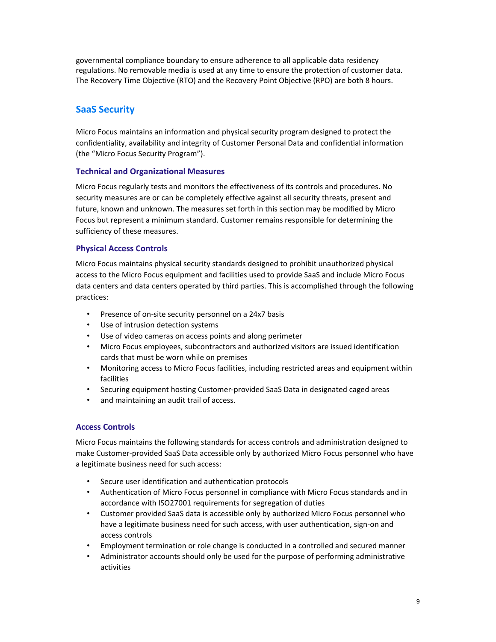governmental compliance boundary to ensure adherence to all applicable data residency regulations. No removable media is used at any time to ensure the protection of customer data. The Recovery Time Objective (RTO) and the Recovery Point Objective (RPO) are both 8 hours.

# **SaaS Security**

Micro Focus maintains an information and physical security program designed to protect the confidentiality, availability and integrity of Customer Personal Data and confidential information (the "Micro Focus Security Program").

# **Technical and Organizational Measures**

Micro Focus regularly tests and monitors the effectiveness of its controls and procedures. No security measures are or can be completely effective against all security threats, present and future, known and unknown. The measures set forth in this section may be modified by Micro Focus but represent a minimum standard. Customer remains responsible for determining the sufficiency of these measures.

# **Physical Access Controls**

Micro Focus maintains physical security standards designed to prohibit unauthorized physical access to the Micro Focus equipment and facilities used to provide SaaS and include Micro Focus data centers and data centers operated by third parties. This is accomplished through the following practices:

- Presence of on‐site security personnel on a 24x7 basis
- Use of intrusion detection systems
- Use of video cameras on access points and along perimeter
- Micro Focus employees, subcontractors and authorized visitors are issued identification cards that must be worn while on premises
- Monitoring access to Micro Focus facilities, including restricted areas and equipment within facilities
- Securing equipment hosting Customer‐provided SaaS Data in designated caged areas
- and maintaining an audit trail of access.

# **Access Controls**

Micro Focus maintains the following standards for access controls and administration designed to make Customer‐provided SaaS Data accessible only by authorized Micro Focus personnel who have a legitimate business need for such access:

- Secure user identification and authentication protocols
- Authentication of Micro Focus personnel in compliance with Micro Focus standards and in accordance with ISO27001 requirements for segregation of duties
- Customer provided SaaS data is accessible only by authorized Micro Focus personnel who have a legitimate business need for such access, with user authentication, sign-on and access controls
- Employment termination or role change is conducted in a controlled and secured manner
- Administrator accounts should only be used for the purpose of performing administrative activities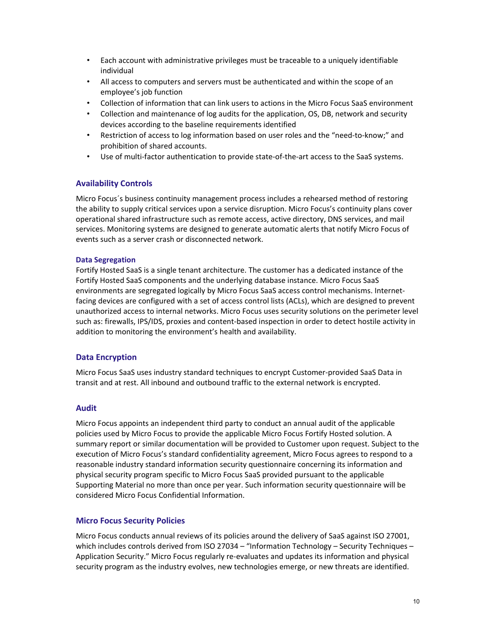- Each account with administrative privileges must be traceable to a uniquely identifiable individual
- All access to computers and servers must be authenticated and within the scope of an employee's job function
- Collection of information that can link users to actions in the Micro Focus SaaS environment
- Collection and maintenance of log audits for the application, OS, DB, network and security devices according to the baseline requirements identified
- Restriction of access to log information based on user roles and the "need-to-know;" and prohibition of shared accounts.
- Use of multi-factor authentication to provide state-of-the-art access to the SaaS systems.

# **Availability Controls**

Micro Focus´s business continuity management process includes a rehearsed method of restoring the ability to supply critical services upon a service disruption. Micro Focus's continuity plans cover operational shared infrastructure such as remote access, active directory, DNS services, and mail services. Monitoring systems are designed to generate automatic alerts that notify Micro Focus of events such as a server crash or disconnected network.

#### **Data Segregation**

Fortify Hosted SaaS is a single tenant architecture. The customer has a dedicated instance of the Fortify Hosted SaaS components and the underlying database instance. Micro Focus SaaS environments are segregated logically by Micro Focus SaaS access control mechanisms. Internet‐ facing devices are configured with a set of access control lists (ACLs), which are designed to prevent unauthorized access to internal networks. Micro Focus uses security solutions on the perimeter level such as: firewalls, IPS/IDS, proxies and content-based inspection in order to detect hostile activity in addition to monitoring the environment's health and availability.

#### **Data Encryption**

Micro Focus SaaS uses industry standard techniques to encrypt Customer‐provided SaaS Data in transit and at rest. All inbound and outbound traffic to the external network is encrypted.

#### **Audit**

Micro Focus appoints an independent third party to conduct an annual audit of the applicable policies used by Micro Focus to provide the applicable Micro Focus Fortify Hosted solution. A summary report or similar documentation will be provided to Customer upon request. Subject to the execution of Micro Focus's standard confidentiality agreement, Micro Focus agrees to respond to a reasonable industry standard information security questionnaire concerning its information and physical security program specific to Micro Focus SaaS provided pursuant to the applicable Supporting Material no more than once per year. Such information security questionnaire will be considered Micro Focus Confidential Information.

#### **Micro Focus Security Policies**

Micro Focus conducts annual reviews of its policies around the delivery of SaaS against ISO 27001, which includes controls derived from ISO 27034 – "Information Technology – Security Techniques – Application Security." Micro Focus regularly re‐evaluates and updates its information and physical security program as the industry evolves, new technologies emerge, or new threats are identified.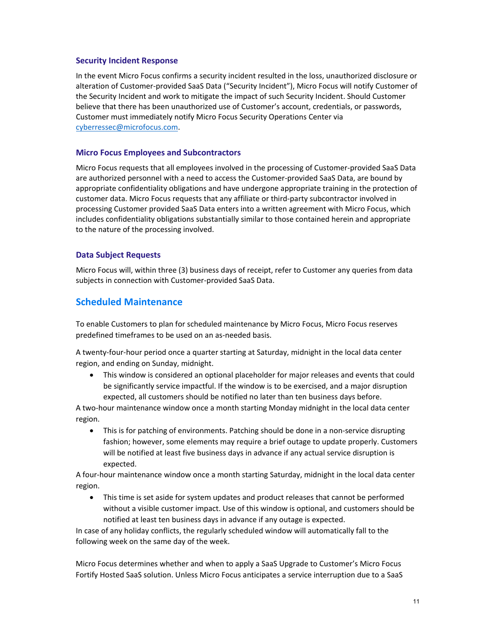#### **Security Incident Response**

In the event Micro Focus confirms a security incident resulted in the loss, unauthorized disclosure or alteration of Customer‐provided SaaS Data ("Security Incident"), Micro Focus will notify Customer of the Security Incident and work to mitigate the impact of such Security Incident. Should Customer believe that there has been unauthorized use of Customer's account, credentials, or passwords, Customer must immediately notify Micro Focus Security Operations Center via cyberressec@microfocus.com.

## **Micro Focus Employees and Subcontractors**

Micro Focus requests that all employees involved in the processing of Customer‐provided SaaS Data are authorized personnel with a need to access the Customer‐provided SaaS Data, are bound by appropriate confidentiality obligations and have undergone appropriate training in the protection of customer data. Micro Focus requests that any affiliate or third‐party subcontractor involved in processing Customer provided SaaS Data enters into a written agreement with Micro Focus, which includes confidentiality obligations substantially similar to those contained herein and appropriate to the nature of the processing involved.

## **Data Subject Requests**

Micro Focus will, within three (3) business days of receipt, refer to Customer any queries from data subjects in connection with Customer‐provided SaaS Data.

# **Scheduled Maintenance**

To enable Customers to plan for scheduled maintenance by Micro Focus, Micro Focus reserves predefined timeframes to be used on an as‐needed basis.

A twenty‐four‐hour period once a quarter starting at Saturday, midnight in the local data center region, and ending on Sunday, midnight.

 This window is considered an optional placeholder for major releases and events that could be significantly service impactful. If the window is to be exercised, and a major disruption expected, all customers should be notified no later than ten business days before.

A two‐hour maintenance window once a month starting Monday midnight in the local data center region.

● This is for patching of environments. Patching should be done in a non-service disrupting fashion; however, some elements may require a brief outage to update properly. Customers will be notified at least five business days in advance if any actual service disruption is expected.

A four‐hour maintenance window once a month starting Saturday, midnight in the local data center region.

 This time is set aside for system updates and product releases that cannot be performed without a visible customer impact. Use of this window is optional, and customers should be notified at least ten business days in advance if any outage is expected.

In case of any holiday conflicts, the regularly scheduled window will automatically fall to the following week on the same day of the week.

Micro Focus determines whether and when to apply a SaaS Upgrade to Customer's Micro Focus Fortify Hosted SaaS solution. Unless Micro Focus anticipates a service interruption due to a SaaS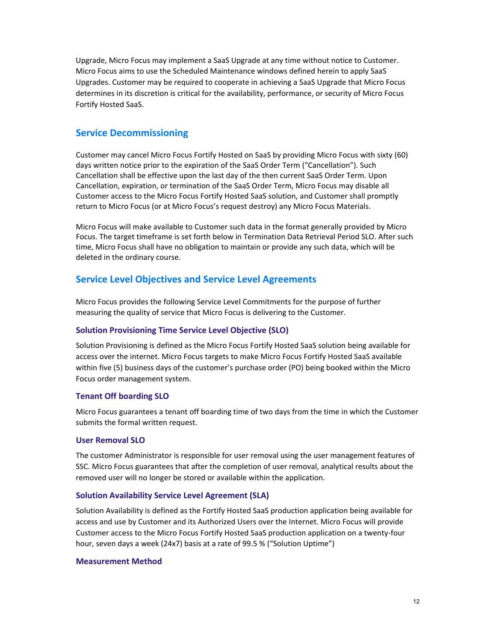Upgrade, Micro Focus may implement a SaaS Upgrade at any time without notice to Customer. Micro Focus aims to use the Scheduled Maintenance windows defined herein to apply SaaS Upgrades. Customer may be required to cooperate in achieving a SaaS Upgrade that Micro Focus determines in its discretion is critical for the availability, performance, or security of Micro Focus Fortify Hosted SaaS.

# **Service Decommissioning**

Customer may cancel Micro Focus Fortify Hosted on SaaS by providing Micro Focus with sixty (60) days written notice prior to the expiration of the SaaS Order Term ("Cancellation"). Such Cancellation shall be effective upon the last day of the then current SaaS Order Term. Upon Cancellation, expiration, or termination of the SaaS Order Term, Micro Focus may disable all Customer access to the Micro Focus Fortify Hosted SaaS solution, and Customer shall promptly return to Micro Focus (or at Micro Focus's request destroy) any Micro Focus Materials.

Micro Focus will make available to Customer such data in the format generally provided by Micro Focus. The target timeframe is set forth below in Termination Data Retrieval Period SLO. After such time, Micro Focus shall have no obligation to maintain or provide any such data, which will be deleted in the ordinary course.

# **Service Level Objectives and Service Level Agreements**

Micro Focus provides the following Service Level Commitments for the purpose of further measuring the quality of service that Micro Focus is delivering to the Customer.

#### **Solution Provisioning Time Service Level Objective (SLO)**

Solution Provisioning is defined as the Micro Focus Fortify Hosted SaaS solution being available for access over the internet. Micro Focus targets to make Micro Focus Fortify Hosted SaaS available within five (5) business days of the customer's purchase order (PO) being booked within the Micro Focus order management system.

#### **Tenant Off boarding SLO**

Micro Focus guarantees a tenant off boarding time of two days from the time in which the Customer submits the formal written request.

#### **User Removal SLO**

The customer Administrator is responsible for user removal using the user management features of SSC. Micro Focus guarantees that after the completion of user removal, analytical results about the removed user will no longer be stored or available within the application.

#### **Solution Availability Service Level Agreement (SLA)**

Solution Availability is defined as the Fortify Hosted SaaS production application being available for access and use by Customer and its Authorized Users over the Internet. Micro Focus will provide Customer access to the Micro Focus Fortify Hosted SaaS production application on a twenty‐four hour, seven days a week (24x7) basis at a rate of 99.5 % ("Solution Uptime")

#### **Measurement Method**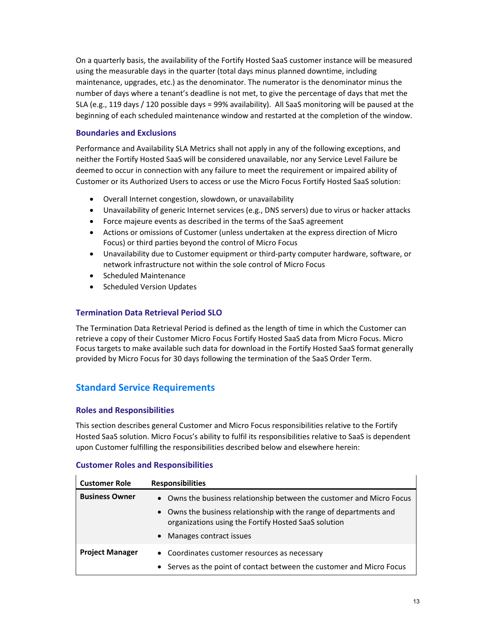On a quarterly basis, the availability of the Fortify Hosted SaaS customer instance will be measured using the measurable days in the quarter (total days minus planned downtime, including maintenance, upgrades, etc.) as the denominator. The numerator is the denominator minus the number of days where a tenant's deadline is not met, to give the percentage of days that met the SLA (e.g., 119 days / 120 possible days = 99% availability). All SaaS monitoring will be paused at the beginning of each scheduled maintenance window and restarted at the completion of the window.

# **Boundaries and Exclusions**

Performance and Availability SLA Metrics shall not apply in any of the following exceptions, and neither the Fortify Hosted SaaS will be considered unavailable, nor any Service Level Failure be deemed to occur in connection with any failure to meet the requirement or impaired ability of Customer or its Authorized Users to access or use the Micro Focus Fortify Hosted SaaS solution:

- Overall Internet congestion, slowdown, or unavailability
- Unavailability of generic Internet services (e.g., DNS servers) due to virus or hacker attacks
- Force majeure events as described in the terms of the SaaS agreement
- Actions or omissions of Customer (unless undertaken at the express direction of Micro Focus) or third parties beyond the control of Micro Focus
- Unavailability due to Customer equipment or third‐party computer hardware, software, or network infrastructure not within the sole control of Micro Focus
- Scheduled Maintenance
- Scheduled Version Updates

# **Termination Data Retrieval Period SLO**

The Termination Data Retrieval Period is defined as the length of time in which the Customer can retrieve a copy of their Customer Micro Focus Fortify Hosted SaaS data from Micro Focus. Micro Focus targets to make available such data for download in the Fortify Hosted SaaS format generally provided by Micro Focus for 30 days following the termination of the SaaS Order Term.

# **Standard Service Requirements**

# **Roles and Responsibilities**

This section describes general Customer and Micro Focus responsibilities relative to the Fortify Hosted SaaS solution. Micro Focus's ability to fulfil its responsibilities relative to SaaS is dependent upon Customer fulfilling the responsibilities described below and elsewhere herein:

#### **Customer Roles and Responsibilities**

| <b>Customer Role</b>   | <b>Responsibilities</b>                                                                                                    |
|------------------------|----------------------------------------------------------------------------------------------------------------------------|
| <b>Business Owner</b>  | • Owns the business relationship between the customer and Micro Focus                                                      |
|                        | • Owns the business relationship with the range of departments and<br>organizations using the Fortify Hosted SaaS solution |
|                        | • Manages contract issues                                                                                                  |
| <b>Project Manager</b> | • Coordinates customer resources as necessary                                                                              |
|                        | • Serves as the point of contact between the customer and Micro Focus                                                      |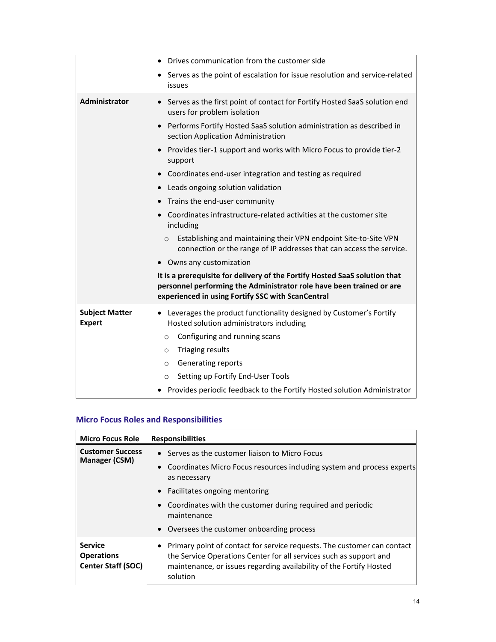|                                        | Drives communication from the customer side<br>$\bullet$                                                                                                                                                |
|----------------------------------------|---------------------------------------------------------------------------------------------------------------------------------------------------------------------------------------------------------|
|                                        | Serves as the point of escalation for issue resolution and service-related<br>issues                                                                                                                    |
| Administrator                          | Serves as the first point of contact for Fortify Hosted SaaS solution end<br>$\bullet$<br>users for problem isolation                                                                                   |
|                                        | Performs Fortify Hosted SaaS solution administration as described in<br>$\bullet$<br>section Application Administration                                                                                 |
|                                        | Provides tier-1 support and works with Micro Focus to provide tier-2<br>٠<br>support                                                                                                                    |
|                                        | Coordinates end-user integration and testing as required<br>$\bullet$                                                                                                                                   |
|                                        | Leads ongoing solution validation<br>$\bullet$                                                                                                                                                          |
|                                        | Trains the end-user community                                                                                                                                                                           |
|                                        | Coordinates infrastructure-related activities at the customer site<br>$\bullet$<br>including                                                                                                            |
|                                        | Establishing and maintaining their VPN endpoint Site-to-Site VPN<br>$\circ$<br>connection or the range of IP addresses that can access the service.                                                     |
|                                        | • Owns any customization                                                                                                                                                                                |
|                                        | It is a prerequisite for delivery of the Fortify Hosted SaaS solution that<br>personnel performing the Administrator role have been trained or are<br>experienced in using Fortify SSC with ScanCentral |
| <b>Subject Matter</b><br><b>Expert</b> | Leverages the product functionality designed by Customer's Fortify<br>Hosted solution administrators including                                                                                          |
|                                        | Configuring and running scans<br>$\circ$                                                                                                                                                                |
|                                        | <b>Triaging results</b><br>$\circ$                                                                                                                                                                      |
|                                        | Generating reports<br>$\circ$                                                                                                                                                                           |
|                                        | Setting up Fortify End-User Tools<br>$\circ$                                                                                                                                                            |
|                                        | Provides periodic feedback to the Fortify Hosted solution Administrator                                                                                                                                 |

# **Micro Focus Roles and Responsibilities**

| <b>Micro Focus Role</b>                                          | <b>Responsibilities</b>                                                                                                                                                                                                                                       |
|------------------------------------------------------------------|---------------------------------------------------------------------------------------------------------------------------------------------------------------------------------------------------------------------------------------------------------------|
| <b>Customer Success</b><br>Manager (CSM)                         | • Serves as the customer liaison to Micro Focus<br>• Coordinates Micro Focus resources including system and process experts<br>as necessary<br>• Facilitates ongoing mentoring<br>• Coordinates with the customer during required and periodic<br>maintenance |
|                                                                  | • Oversees the customer onboarding process                                                                                                                                                                                                                    |
| <b>Service</b><br><b>Operations</b><br><b>Center Staff (SOC)</b> | • Primary point of contact for service requests. The customer can contact<br>the Service Operations Center for all services such as support and<br>maintenance, or issues regarding availability of the Fortify Hosted<br>solution                            |